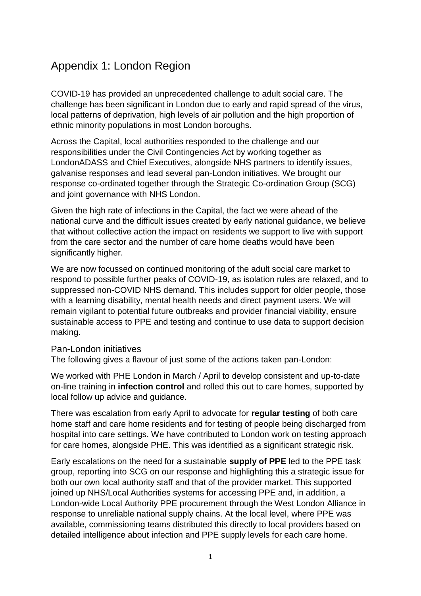## Appendix 1: London Region

COVID-19 has provided an unprecedented challenge to adult social care. The challenge has been significant in London due to early and rapid spread of the virus, local patterns of deprivation, high levels of air pollution and the high proportion of ethnic minority populations in most London boroughs.

Across the Capital, local authorities responded to the challenge and our responsibilities under the Civil Contingencies Act by working together as LondonADASS and Chief Executives, alongside NHS partners to identify issues, galvanise responses and lead several pan-London initiatives. We brought our response co-ordinated together through the Strategic Co-ordination Group (SCG) and joint governance with NHS London.

Given the high rate of infections in the Capital, the fact we were ahead of the national curve and the difficult issues created by early national guidance, we believe that without collective action the impact on residents we support to live with support from the care sector and the number of care home deaths would have been significantly higher.

We are now focussed on continued monitoring of the adult social care market to respond to possible further peaks of COVID-19, as isolation rules are relaxed, and to suppressed non-COVID NHS demand. This includes support for older people, those with a learning disability, mental health needs and direct payment users. We will remain vigilant to potential future outbreaks and provider financial viability, ensure sustainable access to PPE and testing and continue to use data to support decision making.

## Pan-London initiatives

The following gives a flavour of just some of the actions taken pan-London:

We worked with PHE London in March / April to develop consistent and up-to-date on-line training in **infection control** and rolled this out to care homes, supported by local follow up advice and guidance.

There was escalation from early April to advocate for **regular testing** of both care home staff and care home residents and for testing of people being discharged from hospital into care settings. We have contributed to London work on testing approach for care homes, alongside PHE. This was identified as a significant strategic risk.

Early escalations on the need for a sustainable **supply of PPE** led to the PPE task group, reporting into SCG on our response and highlighting this a strategic issue for both our own local authority staff and that of the provider market. This supported joined up NHS/Local Authorities systems for accessing PPE and, in addition, a London-wide Local Authority PPE procurement through the West London Alliance in response to unreliable national supply chains. At the local level, where PPE was available, commissioning teams distributed this directly to local providers based on detailed intelligence about infection and PPE supply levels for each care home.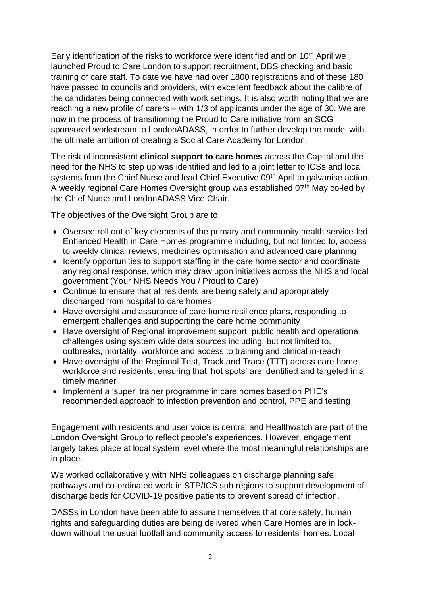Early identification of the risks to workforce were identified and on 10<sup>th</sup> April we launched Proud to Care London to support recruitment, DBS checking and basic training of care staff. To date we have had over 1800 registrations and of these 180 have passed to councils and providers, with excellent feedback about the calibre of the candidates being connected with work settings. It is also worth noting that we are reaching a new profile of carers – with 1/3 of applicants under the age of 30. We are now in the process of transitioning the Proud to Care initiative from an SCG sponsored workstream to LondonADASS, in order to further develop the model with the ultimate ambition of creating a Social Care Academy for London.

The risk of inconsistent **clinical support to care homes** across the Capital and the need for the NHS to step up was identified and led to a joint letter to ICSs and local systems from the Chief Nurse and lead Chief Executive 09<sup>th</sup> April to galvanise action. A weekly regional Care Homes Oversight group was established 07<sup>th</sup> May co-led by the Chief Nurse and LondonADASS Vice Chair.

The objectives of the Oversight Group are to:

- Oversee roll out of key elements of the primary and community health service-led Enhanced Health in Care Homes programme including, but not limited to, access to weekly clinical reviews, medicines optimisation and advanced care planning
- Identify opportunities to support staffing in the care home sector and coordinate any regional response, which may draw upon initiatives across the NHS and local government (Your NHS Needs You / Proud to Care)
- Continue to ensure that all residents are being safely and appropriately discharged from hospital to care homes
- Have oversight and assurance of care home resilience plans, responding to emergent challenges and supporting the care home community
- Have oversight of Regional improvement support, public health and operational challenges using system wide data sources including, but not limited to, outbreaks, mortality, workforce and access to training and clinical in-reach
- Have oversight of the Regional Test, Track and Trace (TTT) across care home workforce and residents, ensuring that 'hot spots' are identified and targeted in a timely manner
- Implement a 'super' trainer programme in care homes based on PHE's recommended approach to infection prevention and control, PPE and testing

Engagement with residents and user voice is central and Healthwatch are part of the London Oversight Group to reflect people's experiences. However, engagement largely takes place at local system level where the most meaningful relationships are in place.

We worked collaboratively with NHS colleagues on discharge planning safe pathways and co-ordinated work in STP/ICS sub regions to support development of discharge beds for COVID-19 positive patients to prevent spread of infection.

DASSs in London have been able to assure themselves that core safety, human rights and safeguarding duties are being delivered when Care Homes are in lockdown without the usual footfall and community access to residents' homes. Local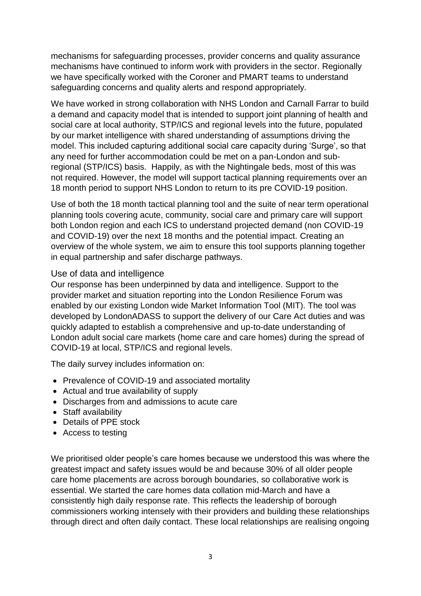mechanisms for safeguarding processes, provider concerns and quality assurance mechanisms have continued to inform work with providers in the sector. Regionally we have specifically worked with the Coroner and PMART teams to understand safeguarding concerns and quality alerts and respond appropriately.

We have worked in strong collaboration with NHS London and Carnall Farrar to build a demand and capacity model that is intended to support joint planning of health and social care at local authority, STP/ICS and regional levels into the future, populated by our market intelligence with shared understanding of assumptions driving the model. This included capturing additional social care capacity during 'Surge', so that any need for further accommodation could be met on a pan-London and subregional (STP/ICS) basis. Happily, as with the Nightingale beds, most of this was not required. However, the model will support tactical planning requirements over an 18 month period to support NHS London to return to its pre COVID-19 position.

Use of both the 18 month tactical planning tool and the suite of near term operational planning tools covering acute, community, social care and primary care will support both London region and each ICS to understand projected demand (non COVID-19 and COVID-19) over the next 18 months and the potential impact. Creating an overview of the whole system, we aim to ensure this tool supports planning together in equal partnership and safer discharge pathways.

## Use of data and intelligence

Our response has been underpinned by data and intelligence. Support to the provider market and situation reporting into the London Resilience Forum was enabled by our existing London wide Market Information Tool (MIT). The tool was developed by LondonADASS to support the delivery of our Care Act duties and was quickly adapted to establish a comprehensive and up-to-date understanding of London adult social care markets (home care and care homes) during the spread of COVID-19 at local, STP/ICS and regional levels.

The daily survey includes information on:

- Prevalence of COVID-19 and associated mortality
- Actual and true availability of supply
- Discharges from and admissions to acute care
- Staff availability
- Details of PPE stock
- Access to testing

We prioritised older people's care homes because we understood this was where the greatest impact and safety issues would be and because 30% of all older people care home placements are across borough boundaries, so collaborative work is essential. We started the care homes data collation mid-March and have a consistently high daily response rate. This reflects the leadership of borough commissioners working intensely with their providers and building these relationships through direct and often daily contact. These local relationships are realising ongoing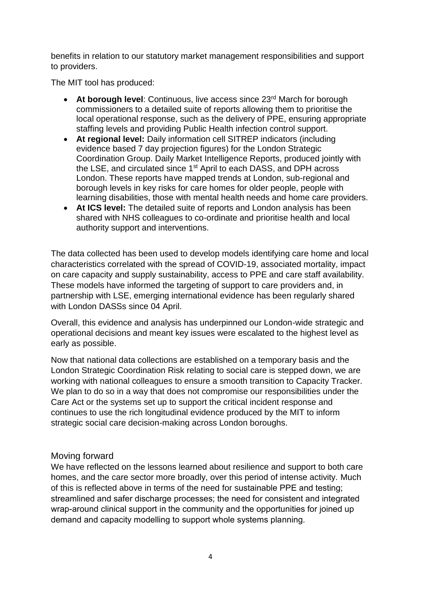benefits in relation to our statutory market management responsibilities and support to providers.

The MIT tool has produced:

- At borough level: Continuous, live access since 23<sup>rd</sup> March for borough commissioners to a detailed suite of reports allowing them to prioritise the local operational response, such as the delivery of PPE, ensuring appropriate staffing levels and providing Public Health infection control support.
- **At regional level:** Daily information cell SITREP indicators (including evidence based 7 day projection figures) for the London Strategic Coordination Group. Daily Market Intelligence Reports, produced jointly with the LSE, and circulated since 1st April to each DASS, and DPH across London. These reports have mapped trends at London, sub-regional and borough levels in key risks for care homes for older people, people with learning disabilities, those with mental health needs and home care providers.
- **At ICS level:** The detailed suite of reports and London analysis has been shared with NHS colleagues to co-ordinate and prioritise health and local authority support and interventions.

The data collected has been used to develop models identifying care home and local characteristics correlated with the spread of COVID-19, associated mortality, impact on care capacity and supply sustainability, access to PPE and care staff availability. These models have informed the targeting of support to care providers and, in partnership with LSE, emerging international evidence has been regularly shared with London DASSs since 04 April.

Overall, this evidence and analysis has underpinned our London-wide strategic and operational decisions and meant key issues were escalated to the highest level as early as possible.

Now that national data collections are established on a temporary basis and the London Strategic Coordination Risk relating to social care is stepped down, we are working with national colleagues to ensure a smooth transition to Capacity Tracker. We plan to do so in a way that does not compromise our responsibilities under the Care Act or the systems set up to support the critical incident response and continues to use the rich longitudinal evidence produced by the MIT to inform strategic social care decision-making across London boroughs.

## Moving forward

We have reflected on the lessons learned about resilience and support to both care homes, and the care sector more broadly, over this period of intense activity. Much of this is reflected above in terms of the need for sustainable PPE and testing; streamlined and safer discharge processes; the need for consistent and integrated wrap-around clinical support in the community and the opportunities for joined up demand and capacity modelling to support whole systems planning.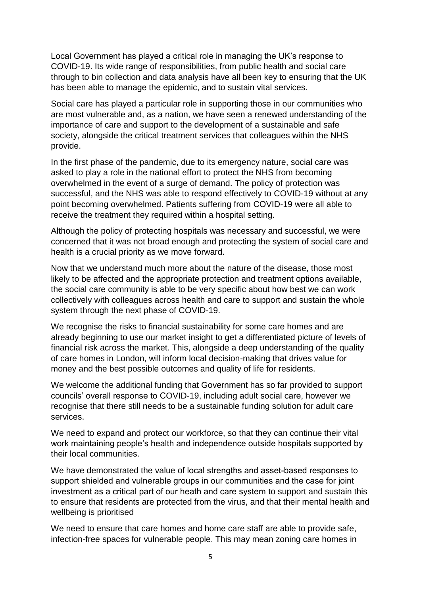Local Government has played a critical role in managing the UK's response to COVID-19. Its wide range of responsibilities, from public health and social care through to bin collection and data analysis have all been key to ensuring that the UK has been able to manage the epidemic, and to sustain vital services.

Social care has played a particular role in supporting those in our communities who are most vulnerable and, as a nation, we have seen a renewed understanding of the importance of care and support to the development of a sustainable and safe society, alongside the critical treatment services that colleagues within the NHS provide.

In the first phase of the pandemic, due to its emergency nature, social care was asked to play a role in the national effort to protect the NHS from becoming overwhelmed in the event of a surge of demand. The policy of protection was successful, and the NHS was able to respond effectively to COVID-19 without at any point becoming overwhelmed. Patients suffering from COVID-19 were all able to receive the treatment they required within a hospital setting.

Although the policy of protecting hospitals was necessary and successful, we were concerned that it was not broad enough and protecting the system of social care and health is a crucial priority as we move forward.

Now that we understand much more about the nature of the disease, those most likely to be affected and the appropriate protection and treatment options available, the social care community is able to be very specific about how best we can work collectively with colleagues across health and care to support and sustain the whole system through the next phase of COVID-19.

We recognise the risks to financial sustainability for some care homes and are already beginning to use our market insight to get a differentiated picture of levels of financial risk across the market. This, alongside a deep understanding of the quality of care homes in London, will inform local decision-making that drives value for money and the best possible outcomes and quality of life for residents.

We welcome the additional funding that Government has so far provided to support councils' overall response to COVID-19, including adult social care, however we recognise that there still needs to be a sustainable funding solution for adult care services.

We need to expand and protect our workforce, so that they can continue their vital work maintaining people's health and independence outside hospitals supported by their local communities.

We have demonstrated the value of local strengths and asset-based responses to support shielded and vulnerable groups in our communities and the case for joint investment as a critical part of our heath and care system to support and sustain this to ensure that residents are protected from the virus, and that their mental health and wellbeing is prioritised

We need to ensure that care homes and home care staff are able to provide safe, infection-free spaces for vulnerable people. This may mean zoning care homes in